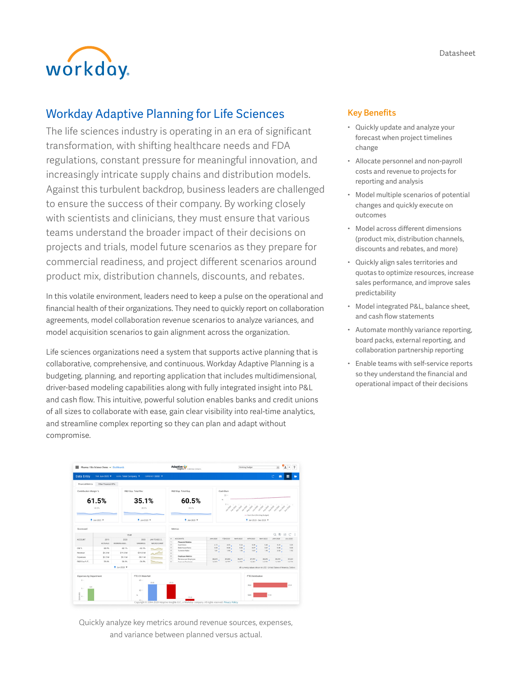Datasheet



# Workday Adaptive Planning for Life Sciences

The life sciences industry is operating in an era of significant transformation, with shifting healthcare needs and FDA regulations, constant pressure for meaningful innovation, and increasingly intricate supply chains and distribution models. Against this turbulent backdrop, business leaders are challenged to ensure the success of their company. By working closely with scientists and clinicians, they must ensure that various teams understand the broader impact of their decisions on projects and trials, model future scenarios as they prepare for commercial readiness, and project different scenarios around product mix, distribution channels, discounts, and rebates.

In this volatile environment, leaders need to keep a pulse on the operational and financial health of their organizations. They need to quickly report on collaboration agreements, model collaboration revenue scenarios to analyze variances, and model acquisition scenarios to gain alignment across the organization.

Life sciences organizations need a system that supports active planning that is collaborative, comprehensive, and continuous. Workday Adaptive Planning is a budgeting, planning, and reporting application that includes multidimensional, driver-based modeling capabilities along with fully integrated insight into P&L and cash flow. This intuitive, powerful solution enables banks and credit unions of all sizes to collaborate with ease, gain clear visibility into real-time analytics, and streamline complex reporting so they can plan and adapt without compromise.



Quickly analyze key metrics around revenue sources, expenses, and variance between planned versus actual.

# Key Benefits

- Quickly update and analyze your forecast when project timelines change
- Allocate personnel and non-payroll costs and revenue to projects for reporting and analysis
- Model multiple scenarios of potential changes and quickly execute on outcomes
- Model across different dimensions (product mix, distribution channels, discounts and rebates, and more)
- Quickly align sales territories and quotas to optimize resources, increase sales performance, and improve sales predictability
- Model integrated P&L, balance sheet, and cash flow statements
- Automate monthly variance reporting, board packs, external reporting, and collaboration partnership reporting
- Enable teams with self-service reports so they understand the financial and operational impact of their decisions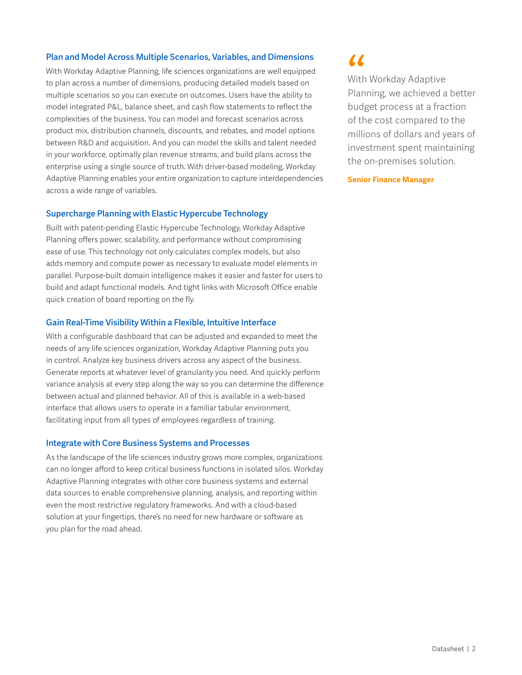# Plan and Model Across Multiple Scenarios, Variables, and Dimensions

With Workday Adaptive Planning, life sciences organizations are well equipped to plan across a number of dimensions, producing detailed models based on multiple scenarios so you can execute on outcomes. Users have the ability to model integrated P&L, balance sheet, and cash flow statements to reflect the complexities of the business. You can model and forecast scenarios across product mix, distribution channels, discounts, and rebates, and model options between R&D and acquisition. And you can model the skills and talent needed in your workforce, optimally plan revenue streams, and build plans across the enterprise using a single source of truth. With driver-based modeling, Workday Adaptive Planning enables your entire organization to capture interdependencies across a wide range of variables.

## Supercharge Planning with Elastic Hypercube Technology

Built with patent-pending Elastic Hypercube Technology, Workday Adaptive Planning offers power, scalability, and performance without compromising ease of use. This technology not only calculates complex models, but also adds memory and compute power as necessary to evaluate model elements in parallel. Purpose-built domain intelligence makes it easier and faster for users to build and adapt functional models. And tight links with Microsoft Office enable quick creation of board reporting on the fly.

## Gain Real-Time Visibility Within a Flexible, Intuitive Interface

With a configurable dashboard that can be adjusted and expanded to meet the needs of any life sciences organization, Workday Adaptive Planning puts you in control. Analyze key business drivers across any aspect of the business. Generate reports at whatever level of granularity you need. And quickly perform variance analysis at every step along the way so you can determine the difference between actual and planned behavior. All of this is available in a web-based interface that allows users to operate in a familiar tabular environment, facilitating input from all types of employees regardless of training.

#### Integrate with Core Business Systems and Processes

As the landscape of the life sciences industry grows more complex, organizations can no longer afford to keep critical business functions in isolated silos. Workday Adaptive Planning integrates with other core business systems and external data sources to enable comprehensive planning, analysis, and reporting within even the most restrictive regulatory frameworks. And with a cloud-based solution at your fingertips, there's no need for new hardware or software as you plan for the road ahead.

(C<br>With<br>Plan<br>budg With Workday Adaptive Planning, we achieved a better budget process at a fraction of the cost compared to the millions of dollars and years of investment spent maintaining the on-premises solution.

**Senior Finance Manager**